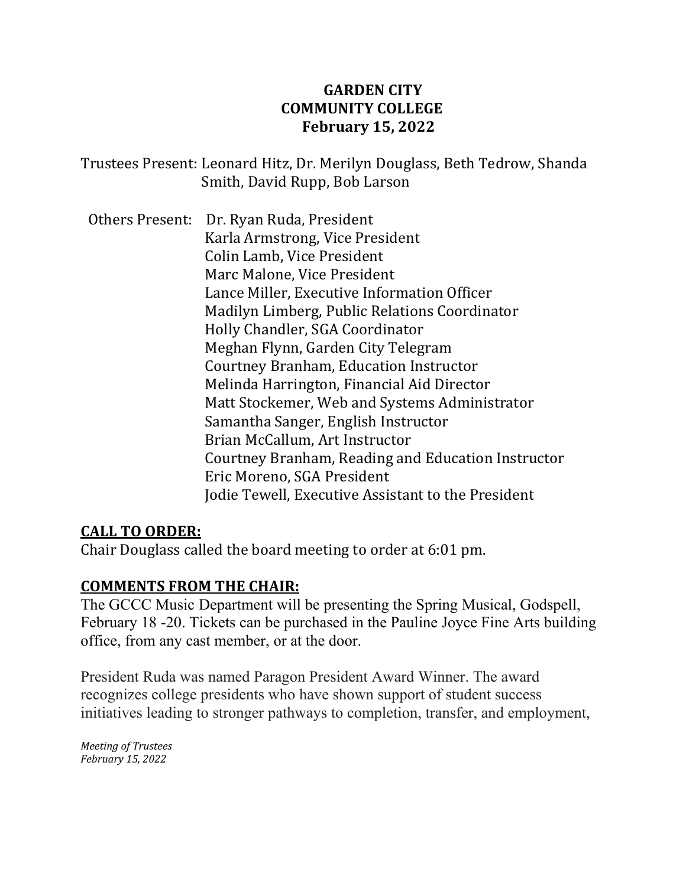# **GARDEN CITY COMMUNITY COLLEGE February 15, 2022**

Trustees Present: Leonard Hitz, Dr. Merilyn Douglass, Beth Tedrow, Shanda Smith, David Rupp, Bob Larson

Others Present: Dr. Ryan Ruda, President Karla Armstrong, Vice President Colin Lamb, Vice President Marc Malone, Vice President Lance Miller, Executive Information Officer Madilyn Limberg, Public Relations Coordinator Holly Chandler, SGA Coordinator Meghan Flynn, Garden City Telegram Courtney Branham, Education Instructor Melinda Harrington, Financial Aid Director Matt Stockemer, Web and Systems Administrator Samantha Sanger, English Instructor Brian McCallum, Art Instructor Courtney Branham, Reading and Education Instructor Eric Moreno, SGA President Jodie Tewell, Executive Assistant to the President

# **CALL TO ORDER:**

Chair Douglass called the board meeting to order at 6:01 pm.

# **COMMENTS FROM THE CHAIR:**

The GCCC Music Department will be presenting the Spring Musical, Godspell, February 18 -20. Tickets can be purchased in the Pauline Joyce Fine Arts building office, from any cast member, or at the door.

President Ruda was named Paragon President Award Winner. The award recognizes college presidents who have shown support of student success initiatives leading to stronger pathways to completion, transfer, and employment,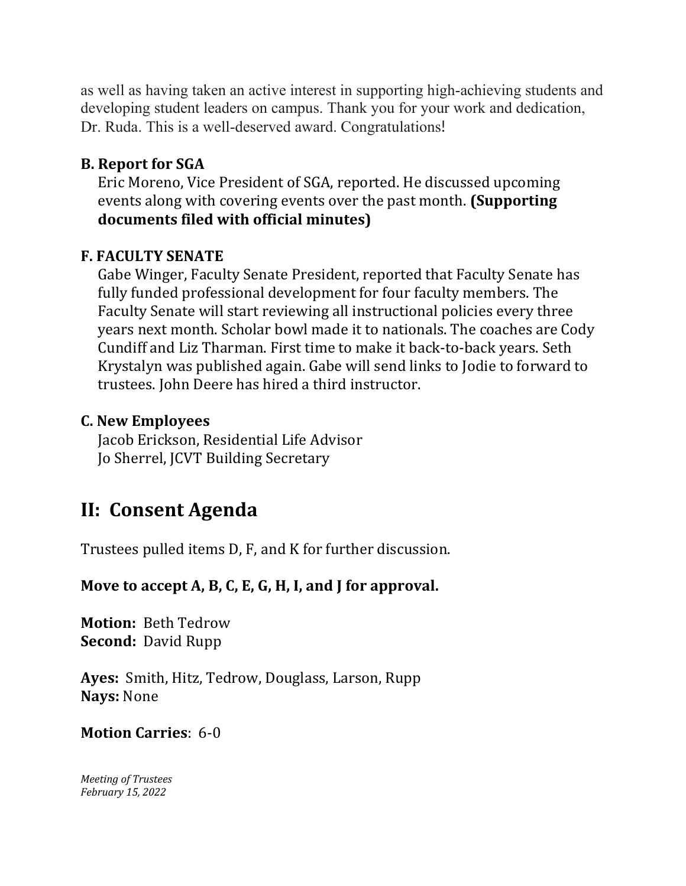as well as having taken an active interest in supporting high-achieving students and developing student leaders on campus. Thank you for your work and dedication, Dr. Ruda. This is a well-deserved award. Congratulations!

# **B. Report for SGA**

Eric Moreno, Vice President of SGA, reported. He discussed upcoming events along with covering events over the past month. **(Supporting documents filed with official minutes)**

#### **F. FACULTY SENATE**

Gabe Winger, Faculty Senate President, reported that Faculty Senate has fully funded professional development for four faculty members. The Faculty Senate will start reviewing all instructional policies every three years next month. Scholar bowl made it to nationals. The coaches are Cody Cundiff and Liz Tharman. First time to make it back-to-back years. Seth Krystalyn was published again. Gabe will send links to Jodie to forward to trustees. John Deere has hired a third instructor.

### **C. New Employees**

 Jacob Erickson, Residential Life Advisor Jo Sherrel, JCVT Building Secretary

# **II: Consent Agenda**

Trustees pulled items D, F, and K for further discussion.

# **Move to accept A, B, C, E, G, H, I, and J for approval.**

**Motion:** Beth Tedrow **Second:** David Rupp

**Ayes:** Smith, Hitz, Tedrow, Douglass, Larson, Rupp **Nays:** None

#### **Motion Carries**: 6-0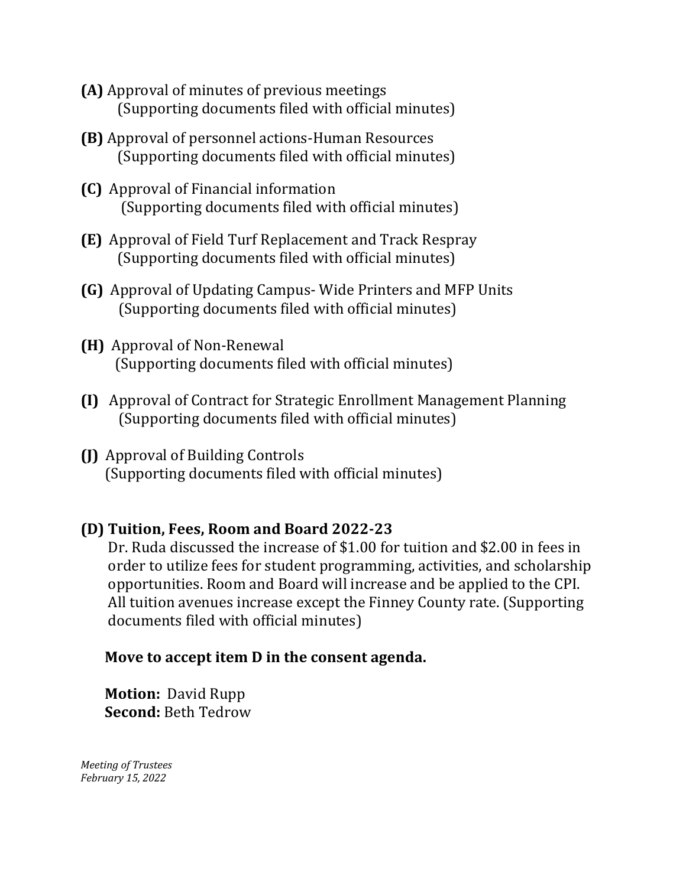- **(A)** Approval of minutes of previous meetings (Supporting documents filed with official minutes)
- **(B)** Approval of personnel actions-Human Resources (Supporting documents filed with official minutes)
- **(C)** Approval of Financial information (Supporting documents filed with official minutes)
- **(E)** Approval of Field Turf Replacement and Track Respray (Supporting documents filed with official minutes)
- **(G)** Approval of Updating Campus- Wide Printers and MFP Units (Supporting documents filed with official minutes)
- **(H)** Approval of Non-Renewal (Supporting documents filed with official minutes)
- **(I)** Approval of Contract for Strategic Enrollment Management Planning (Supporting documents filed with official minutes)
- **(J)** Approval of Building Controls (Supporting documents filed with official minutes)

# **(D) Tuition, Fees, Room and Board 2022-23**

 Dr. Ruda discussed the increase of \$1.00 for tuition and \$2.00 in fees in order to utilize fees for student programming, activities, and scholarship opportunities. Room and Board will increase and be applied to the CPI. All tuition avenues increase except the Finney County rate. (Supporting documents filed with official minutes)

# **Move to accept item D in the consent agenda.**

 **Motion:** David Rupp **Second:** Beth Tedrow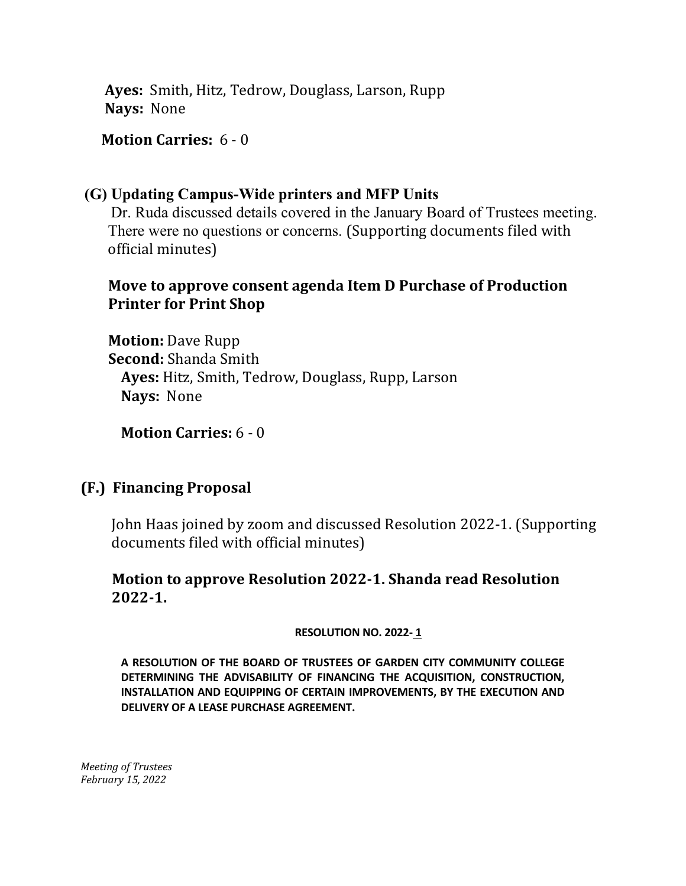**Ayes:** Smith, Hitz, Tedrow, Douglass, Larson, Rupp **Nays:** None

**Motion Carries:** 6 - 0

### **(G) Updating Campus-Wide printers and MFP Units**

 Dr. Ruda discussed details covered in the January Board of Trustees meeting. There were no questions or concerns. (Supporting documents filed with official minutes)

# **Move to approve consent agenda Item D Purchase of Production Printer for Print Shop**

 **Motion:** Dave Rupp  **Second:** Shanda Smith **Ayes:** Hitz, Smith, Tedrow, Douglass, Rupp, Larson **Nays:** None

**Motion Carries:** 6 - 0

# **(F.) Financing Proposal**

 John Haas joined by zoom and discussed Resolution 2022-1. (Supporting documents filed with official minutes)

### **Motion to approve Resolution 2022-1. Shanda read Resolution 2022-1.**

**RESOLUTION NO. 2022- <sup>1</sup>**

**A RESOLUTION OF THE BOARD OF TRUSTEES OF GARDEN CITY COMMUNITY COLLEGE DETERMINING THE ADVISABILITY OF FINANCING THE ACQUISITION, CONSTRUCTION, INSTALLATION AND EQUIPPING OF CERTAIN IMPROVEMENTS, BY THE EXECUTION AND DELIVERY OF A LEASE PURCHASE AGREEMENT.**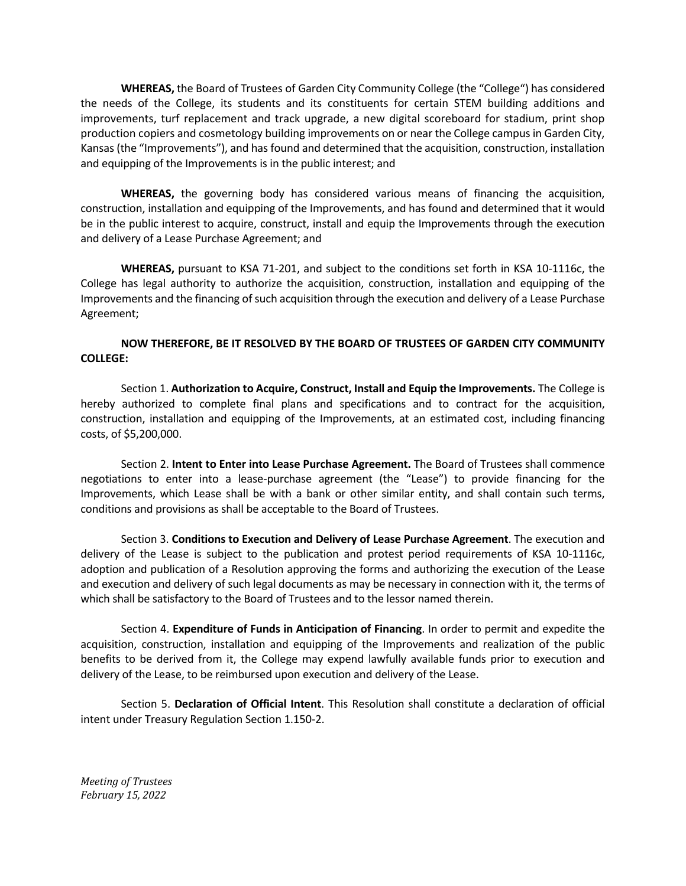**WHEREAS,** the Board of Trustees of Garden City Community College (the "College") has considered the needs of the College, its students and its constituents for certain STEM building additions and improvements, turf replacement and track upgrade, a new digital scoreboard for stadium, print shop production copiers and cosmetology building improvements on or near the College campus in Garden City, Kansas (the "Improvements"), and has found and determined that the acquisition, construction, installation and equipping of the Improvements is in the public interest; and

**WHEREAS,** the governing body has considered various means of financing the acquisition, construction, installation and equipping of the Improvements, and has found and determined that it would be in the public interest to acquire, construct, install and equip the Improvements through the execution and delivery of a Lease Purchase Agreement; and

**WHEREAS,** pursuant to KSA 71-201, and subject to the conditions set forth in KSA 10-1116c, the College has legal authority to authorize the acquisition, construction, installation and equipping of the Improvements and the financing of such acquisition through the execution and delivery of a Lease Purchase Agreement;

#### **NOW THEREFORE, BE IT RESOLVED BY THE BOARD OF TRUSTEES OF GARDEN CITY COMMUNITY COLLEGE:**

Section 1. **Authorization to Acquire, Construct, Install and Equip the Improvements.** The College is hereby authorized to complete final plans and specifications and to contract for the acquisition, construction, installation and equipping of the Improvements, at an estimated cost, including financing costs, of \$5,200,000.

Section 2. **Intent to Enter into Lease Purchase Agreement.** The Board of Trustees shall commence negotiations to enter into a lease-purchase agreement (the "Lease") to provide financing for the Improvements, which Lease shall be with a bank or other similar entity, and shall contain such terms, conditions and provisions as shall be acceptable to the Board of Trustees.

Section 3. **Conditions to Execution and Delivery of Lease Purchase Agreement**. The execution and delivery of the Lease is subject to the publication and protest period requirements of KSA 10-1116c, adoption and publication of a Resolution approving the forms and authorizing the execution of the Lease and execution and delivery of such legal documents as may be necessary in connection with it, the terms of which shall be satisfactory to the Board of Trustees and to the lessor named therein.

Section 4. **Expenditure of Funds in Anticipation of Financing**. In order to permit and expedite the acquisition, construction, installation and equipping of the Improvements and realization of the public benefits to be derived from it, the College may expend lawfully available funds prior to execution and delivery of the Lease, to be reimbursed upon execution and delivery of the Lease.

Section 5. **Declaration of Official Intent**. This Resolution shall constitute a declaration of official intent under Treasury Regulation Section 1.150-2.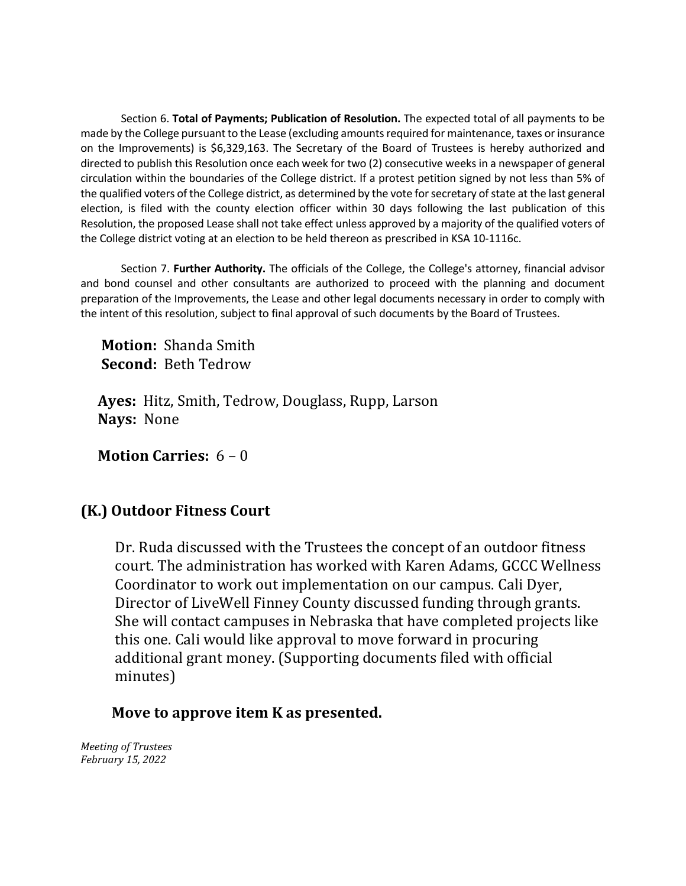Section 6. **Total of Payments; Publication of Resolution.** The expected total of all payments to be made by the College pursuant to the Lease (excluding amounts required for maintenance, taxes or insurance on the Improvements) is \$6,329,163. The Secretary of the Board of Trustees is hereby authorized and directed to publish this Resolution once each week for two (2) consecutive weeks in a newspaper of general circulation within the boundaries of the College district. If a protest petition signed by not less than 5% of the qualified voters of the College district, as determined by the vote for secretary of state at the last general election, is filed with the county election officer within 30 days following the last publication of this Resolution, the proposed Lease shall not take effect unless approved by a majority of the qualified voters of the College district voting at an election to be held thereon as prescribed in KSA 10-1116c.

Section 7. **Further Authority.** The officials of the College, the College's attorney, financial advisor and bond counsel and other consultants are authorized to proceed with the planning and document preparation of the Improvements, the Lease and other legal documents necessary in order to comply with the intent of this resolution, subject to final approval of such documents by the Board of Trustees.

 **Motion:** Shanda Smith  **Second:** Beth Tedrow

 **Ayes:** Hitz, Smith, Tedrow, Douglass, Rupp, Larson  **Nays:** None

**Motion Carries:** 6 – 0

# **(K.) Outdoor Fitness Court**

 Dr. Ruda discussed with the Trustees the concept of an outdoor fitness court. The administration has worked with Karen Adams, GCCC Wellness Coordinator to work out implementation on our campus. Cali Dyer, Director of LiveWell Finney County discussed funding through grants. She will contact campuses in Nebraska that have completed projects like this one. Cali would like approval to move forward in procuring additional grant money. (Supporting documents filed with official minutes)

#### **Move to approve item K as presented.**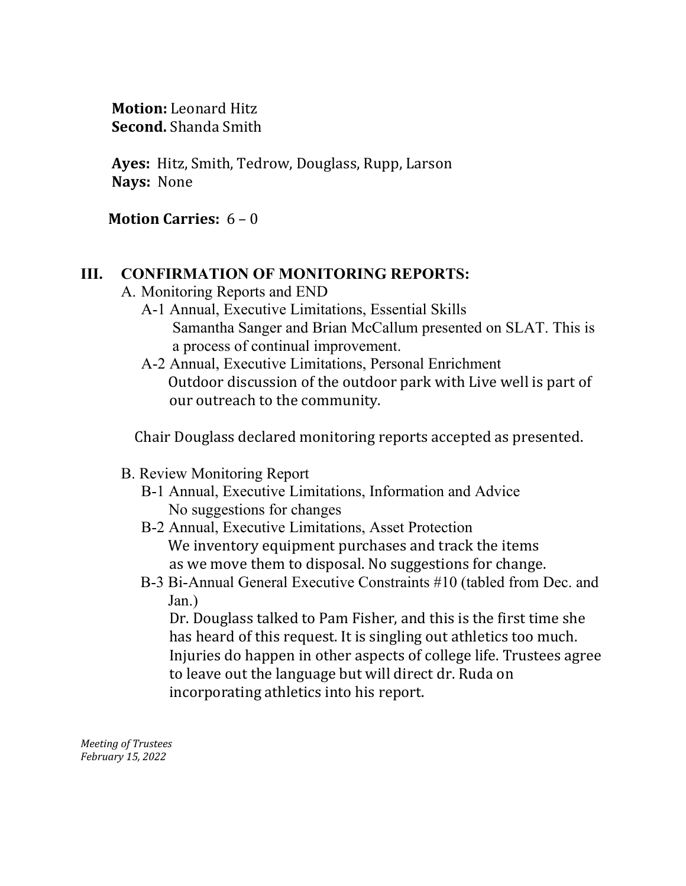**Motion:** Leonard Hitz  **Second.** Shanda Smith

 **Ayes:** Hitz, Smith, Tedrow, Douglass, Rupp, Larson  **Nays:** None

**Motion Carries:** 6 – 0

# **III. CONFIRMATION OF MONITORING REPORTS:**

- A. Monitoring Reports and END
	- A-1 Annual, Executive Limitations, Essential Skills Samantha Sanger and Brian McCallum presented on SLAT. This is a process of continual improvement.
	- A-2 Annual, Executive Limitations, Personal Enrichment Outdoor discussion of the outdoor park with Live well is part of our outreach to the community.

Chair Douglass declared monitoring reports accepted as presented.

- B. Review Monitoring Report
	- B-1 Annual, Executive Limitations, Information and Advice No suggestions for changes
	- B-2 Annual, Executive Limitations, Asset Protection We inventory equipment purchases and track the items as we move them to disposal. No suggestions for change.
	- B-3 Bi-Annual General Executive Constraints #10 (tabled from Dec. and Jan.)

Dr. Douglass talked to Pam Fisher, and this is the first time she has heard of this request. It is singling out athletics too much. Injuries do happen in other aspects of college life. Trustees agree to leave out the language but will direct dr. Ruda on incorporating athletics into his report.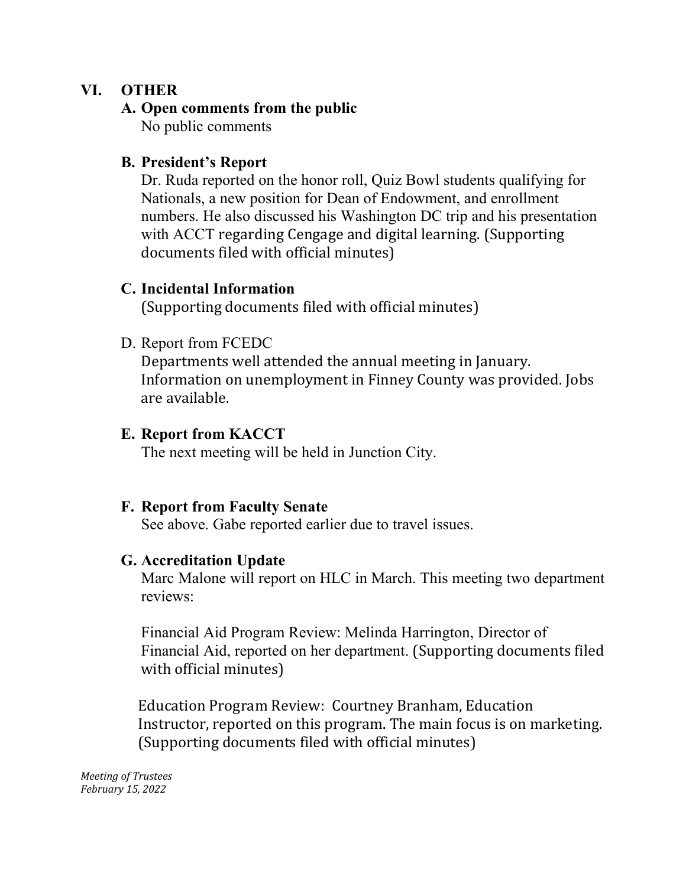# **VI. OTHER**

### **A. Open comments from the public**

No public comments

## **B. President's Report**

Dr. Ruda reported on the honor roll, Quiz Bowl students qualifying for Nationals, a new position for Dean of Endowment, and enrollment numbers. He also discussed his Washington DC trip and his presentation with ACCT regarding Cengage and digital learning. (Supporting documents filed with official minutes)

### **C. Incidental Information**

(Supporting documents filed with official minutes)

# D. Report from FCEDC

Departments well attended the annual meeting in January. Information on unemployment in Finney County was provided. Jobs are available.

### **E. Report from KACCT**

The next meeting will be held in Junction City.

#### **F. Report from Faculty Senate**

See above. Gabe reported earlier due to travel issues.

#### **G. Accreditation Update**

Marc Malone will report on HLC in March. This meeting two department reviews:

Financial Aid Program Review: Melinda Harrington, Director of Financial Aid, reported on her department. (Supporting documents filed with official minutes)

 Education Program Review: Courtney Branham, Education Instructor, reported on this program. The main focus is on marketing. (Supporting documents filed with official minutes)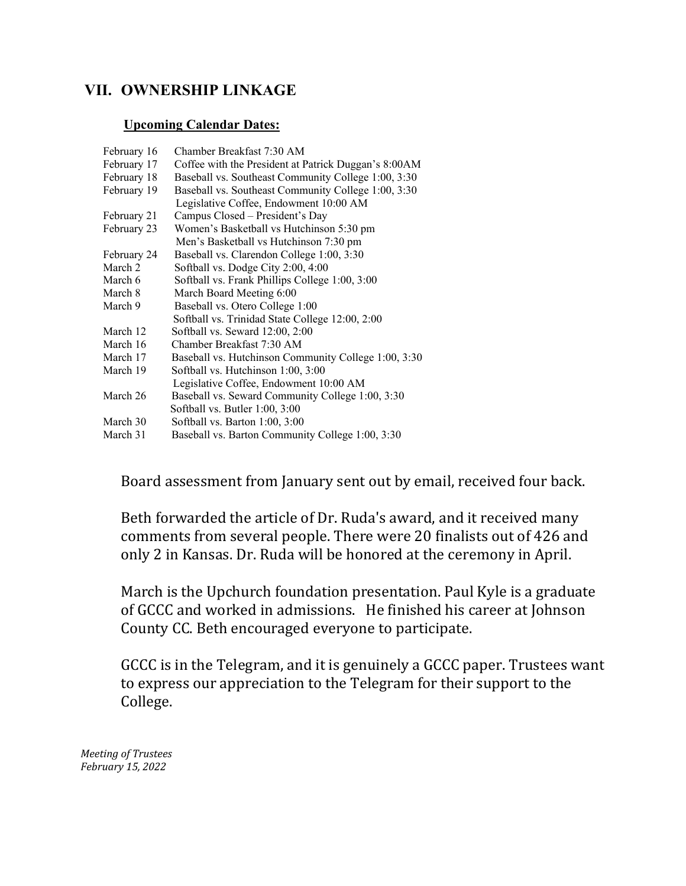#### **VII. OWNERSHIP LINKAGE**

#### **Upcoming Calendar Dates:**

| February 16 | Chamber Breakfast 7:30 AM                            |
|-------------|------------------------------------------------------|
| February 17 | Coffee with the President at Patrick Duggan's 8:00AM |
| February 18 | Baseball vs. Southeast Community College 1:00, 3:30  |
| February 19 | Baseball vs. Southeast Community College 1:00, 3:30  |
|             | Legislative Coffee, Endowment 10:00 AM               |
| February 21 | Campus Closed – President's Day                      |
| February 23 | Women's Basketball vs Hutchinson 5:30 pm             |
|             | Men's Basketball vs Hutchinson 7:30 pm               |
| February 24 | Baseball vs. Clarendon College 1:00, 3:30            |
| March 2     | Softball vs. Dodge City 2:00, 4:00                   |
| March 6     | Softball vs. Frank Phillips College 1:00, 3:00       |
| March 8     | March Board Meeting 6:00                             |
| March 9     | Baseball vs. Otero College 1:00                      |
|             | Softball vs. Trinidad State College 12:00, 2:00      |
| March 12    | Softball vs. Seward 12:00, 2:00                      |
| March 16    | Chamber Breakfast 7:30 AM                            |
| March 17    | Baseball vs. Hutchinson Community College 1:00, 3:30 |
| March 19    | Softball vs. Hutchinson 1:00, 3:00                   |
|             | Legislative Coffee, Endowment 10:00 AM               |
| March 26    | Baseball vs. Seward Community College 1:00, 3:30     |
|             | Softball vs. Butler 1:00, 3:00                       |
| March 30    | Softball vs. Barton $1:00, 3:00$                     |
| March 31    | Baseball vs. Barton Community College 1:00, 3:30     |

Board assessment from January sent out by email, received four back.

Beth forwarded the article of Dr. Ruda's award, and it received many comments from several people. There were 20 finalists out of 426 and only 2 in Kansas. Dr. Ruda will be honored at the ceremony in April.

March is the Upchurch foundation presentation. Paul Kyle is a graduate of GCCC and worked in admissions. He finished his career at Johnson County CC. Beth encouraged everyone to participate.

GCCC is in the Telegram, and it is genuinely a GCCC paper. Trustees want to express our appreciation to the Telegram for their support to the College.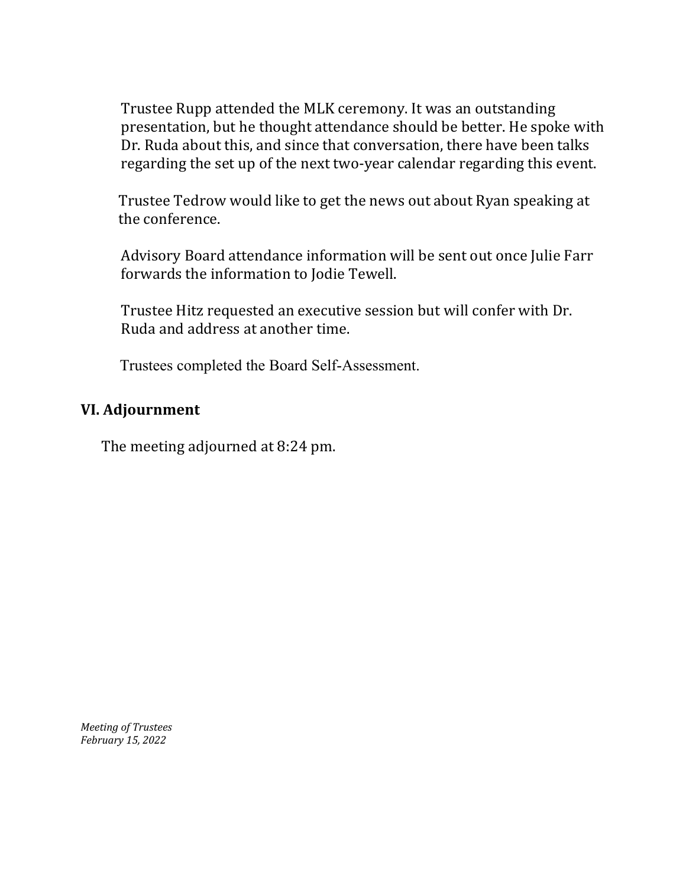Trustee Rupp attended the MLK ceremony. It was an outstanding presentation, but he thought attendance should be better. He spoke with Dr. Ruda about this, and since that conversation, there have been talks regarding the set up of the next two-year calendar regarding this event.

 Trustee Tedrow would like to get the news out about Ryan speaking at the conference.

Advisory Board attendance information will be sent out once Julie Farr forwards the information to Jodie Tewell.

Trustee Hitz requested an executive session but will confer with Dr. Ruda and address at another time.

Trustees completed the Board Self-Assessment.

### **VI. Adjournment**

The meeting adjourned at 8:24 pm.